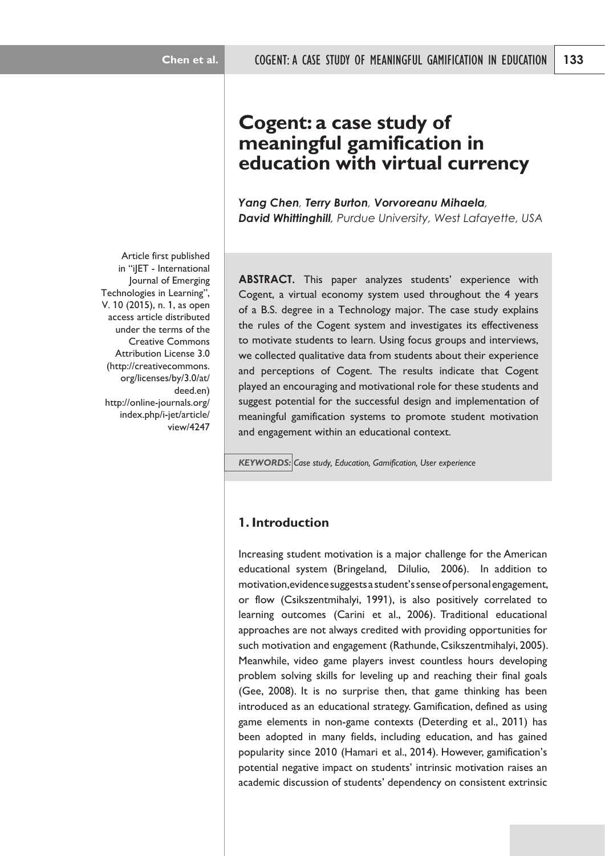# **Cogent: a case study of meaningful gamification in education with virtual currency**

*Yang Chen, Terry Burton, Vorvoreanu Mihaela, David Whittinghill, Purdue University, West Lafayette, USA*

**ABSTRACT.** This paper analyzes students' experience with Cogent, a virtual economy system used throughout the 4 years of a B.S. degree in a Technology major. The case study explains the rules of the Cogent system and investigates its effectiveness to motivate students to learn. Using focus groups and interviews, we collected qualitative data from students about their experience and perceptions of Cogent. The results indicate that Cogent played an encouraging and motivational role for these students and suggest potential for the successful design and implementation of meaningful gamification systems to promote student motivation and engagement within an educational context.

*KEYWORDS: Case study, Education, Gamification, User experience*

## **1. Introduction**

Increasing student motivation is a major challenge for the American educational system (Bringeland, Dilulio, 2006). In addition to motivation,evidencesuggestsastudent'ssenseofpersonalengagement, or flow (Csikszentmihalyi, 1991), is also positively correlated to learning outcomes (Carini et al., 2006). Traditional educational approaches are not always credited with providing opportunities for such motivation and engagement (Rathunde, Csikszentmihalyi, 2005). Meanwhile, video game players invest countless hours developing problem solving skills for leveling up and reaching their final goals (Gee, 2008). It is no surprise then, that game thinking has been introduced as an educational strategy. Gamification, defined as using game elements in non-game contexts (Deterding et al., 2011) has been adopted in many fields, including education, and has gained popularity since 2010 (Hamari et al., 2014). However, gamification's potential negative impact on students' intrinsic motivation raises an academic discussion of students' dependency on consistent extrinsic

Article first published in "iJET - International Journal of Emerging Technologies in Learning", V. 10 (2015), n. 1, as open access article distributed under the terms of the Creative Commons Attribution License 3.0 (http://creativecommons. org/licenses/by/3.0/at/ deed.en) http://online-journals.org/ index.php/i-jet/article/ view/4247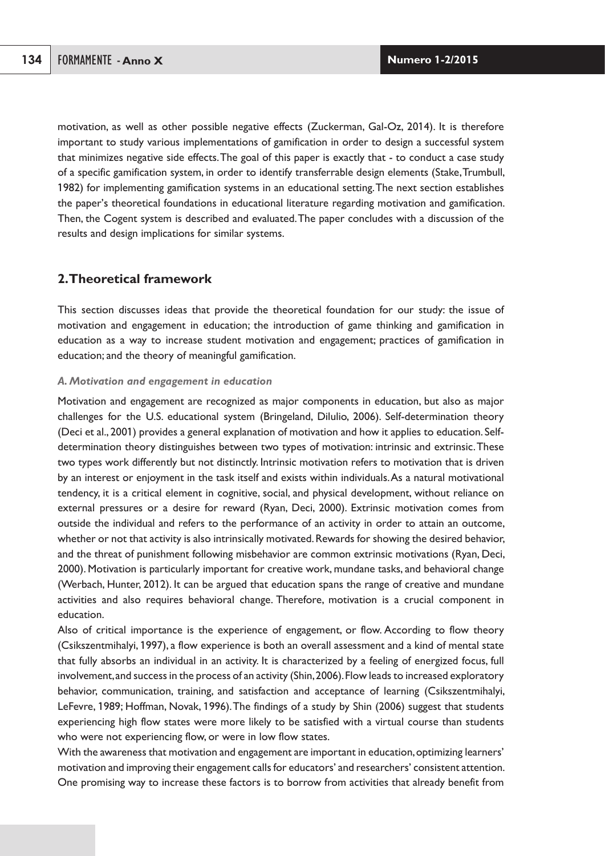motivation, as well as other possible negative effects (Zuckerman, Gal-Oz, 2014). It is therefore important to study various implementations of gamification in order to design a successful system that minimizes negative side effects.The goal of this paper is exactly that - to conduct a case study of a specific gamification system, in order to identify transferrable design elements (Stake,Trumbull, 1982) for implementing gamification systems in an educational setting.The next section establishes the paper's theoretical foundations in educational literature regarding motivation and gamification. Then, the Cogent system is described and evaluated.The paper concludes with a discussion of the results and design implications for similar systems.

## **2. Theoretical framework**

This section discusses ideas that provide the theoretical foundation for our study: the issue of motivation and engagement in education; the introduction of game thinking and gamification in education as a way to increase student motivation and engagement; practices of gamification in education; and the theory of meaningful gamification.

#### *A. Motivation and engagement in education*

Motivation and engagement are recognized as major components in education, but also as major challenges for the U.S. educational system (Bringeland, Dilulio, 2006). Self-determination theory (Deci et al., 2001) provides a general explanation of motivation and how it applies to education. Selfdetermination theory distinguishes between two types of motivation: intrinsic and extrinsic.These two types work differently but not distinctly. Intrinsic motivation refers to motivation that is driven by an interest or enjoyment in the task itself and exists within individuals.As a natural motivational tendency, it is a critical element in cognitive, social, and physical development, without reliance on external pressures or a desire for reward (Ryan, Deci, 2000). Extrinsic motivation comes from outside the individual and refers to the performance of an activity in order to attain an outcome, whether or not that activity is also intrinsically motivated. Rewards for showing the desired behavior, and the threat of punishment following misbehavior are common extrinsic motivations (Ryan, Deci, 2000). Motivation is particularly important for creative work, mundane tasks, and behavioral change (Werbach, Hunter, 2012). It can be argued that education spans the range of creative and mundane activities and also requires behavioral change. Therefore, motivation is a crucial component in education.

Also of critical importance is the experience of engagement, or flow. According to flow theory (Csikszentmihalyi, 1997), a flow experience is both an overall assessment and a kind of mental state that fully absorbs an individual in an activity. It is characterized by a feeling of energized focus, full involvement, and success in the process of an activity (Shin, 2006). Flow leads to increased exploratory behavior, communication, training, and satisfaction and acceptance of learning (Csikszentmihalyi, LeFevre, 1989; Hoffman, Novak, 1996).The findings of a study by Shin (2006) suggest that students experiencing high flow states were more likely to be satisfied with a virtual course than students who were not experiencing flow, or were in low flow states.

With the awareness that motivation and engagement are important in education,optimizing learners' motivation and improving their engagement calls for educators' and researchers' consistent attention. One promising way to increase these factors is to borrow from activities that already benefit from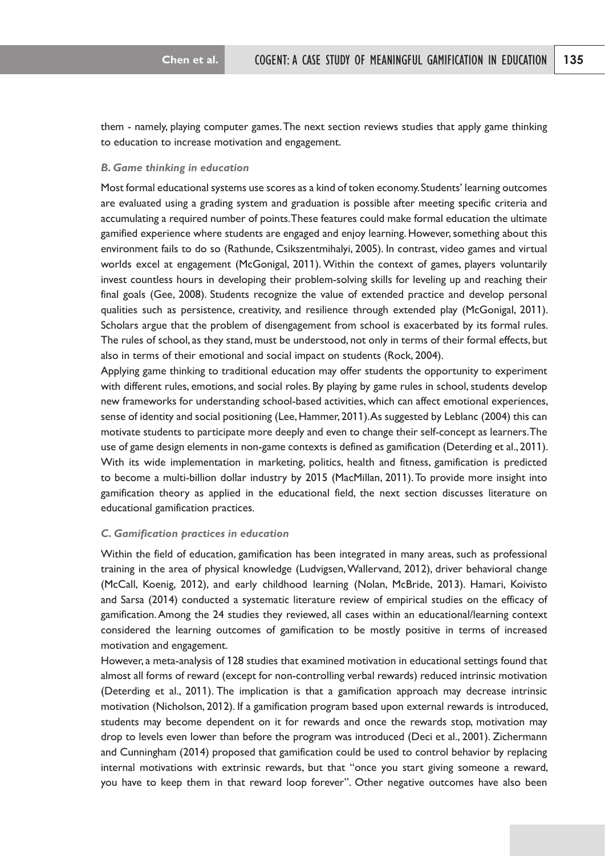them - namely, playing computer games.The next section reviews studies that apply game thinking to education to increase motivation and engagement.

#### *B. Game thinking in education*

Most formal educational systems use scores as a kind of token economy.Students' learning outcomes are evaluated using a grading system and graduation is possible after meeting specific criteria and accumulating a required number of points.These features could make formal education the ultimate gamified experience where students are engaged and enjoy learning. However,something about this environment fails to do so (Rathunde, Csikszentmihalyi, 2005). In contrast, video games and virtual worlds excel at engagement (McGonigal, 2011).Within the context of games, players voluntarily invest countless hours in developing their problem-solving skills for leveling up and reaching their final goals (Gee, 2008). Students recognize the value of extended practice and develop personal qualities such as persistence, creativity, and resilience through extended play (McGonigal, 2011). Scholars argue that the problem of disengagement from school is exacerbated by its formal rules. The rules of school, as they stand, must be understood, not only in terms of their formal effects, but also in terms of their emotional and social impact on students (Rock, 2004).

Applying game thinking to traditional education may offer students the opportunity to experiment with different rules, emotions, and social roles. By playing by game rules in school, students develop new frameworks for understanding school-based activities, which can affect emotional experiences, sense of identity and social positioning (Lee, Hammer, 2011). As suggested by Leblanc (2004) this can motivate students to participate more deeply and even to change their self-concept as learners.The use of game design elements in non-game contexts is defined as gamification (Deterding et al., 2011). With its wide implementation in marketing, politics, health and fitness, gamification is predicted to become a multi-billion dollar industry by 2015 (MacMillan, 2011).To provide more insight into gamification theory as applied in the educational field, the next section discusses literature on educational gamification practices.

#### *C. Gamification practices in education*

Within the field of education, gamification has been integrated in many areas, such as professional training in the area of physical knowledge (Ludvigsen,Wallervand, 2012), driver behavioral change (McCall, Koenig, 2012), and early childhood learning (Nolan, McBride, 2013). Hamari, Koivisto and Sarsa (2014) conducted a systematic literature review of empirical studies on the efficacy of gamification.Among the 24 studies they reviewed, all cases within an educational/learning context considered the learning outcomes of gamification to be mostly positive in terms of increased motivation and engagement.

However, a meta-analysis of 128 studies that examined motivation in educational settings found that almost all forms of reward (except for non-controlling verbal rewards) reduced intrinsic motivation (Deterding et al., 2011). The implication is that a gamification approach may decrease intrinsic motivation (Nicholson, 2012). If a gamification program based upon external rewards is introduced, students may become dependent on it for rewards and once the rewards stop, motivation may drop to levels even lower than before the program was introduced (Deci et al., 2001). Zichermann and Cunningham (2014) proposed that gamification could be used to control behavior by replacing internal motivations with extrinsic rewards, but that "once you start giving someone a reward, you have to keep them in that reward loop forever". Other negative outcomes have also been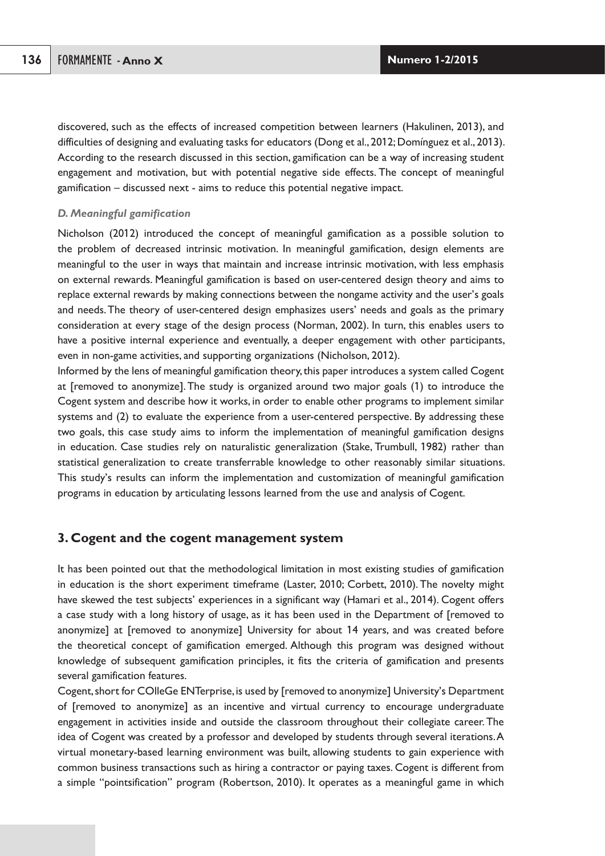discovered, such as the effects of increased competition between learners (Hakulinen, 2013), and difficulties of designing and evaluating tasks for educators (Dong et al., 2012; Domínguez et al., 2013). According to the research discussed in this section, gamification can be a way of increasing student engagement and motivation, but with potential negative side effects. The concept of meaningful gamification – discussed next - aims to reduce this potential negative impact.

#### *D. Meaningful gamification*

Nicholson (2012) introduced the concept of meaningful gamification as a possible solution to the problem of decreased intrinsic motivation. In meaningful gamification, design elements are meaningful to the user in ways that maintain and increase intrinsic motivation, with less emphasis on external rewards. Meaningful gamification is based on user-centered design theory and aims to replace external rewards by making connections between the nongame activity and the user's goals and needs.The theory of user-centered design emphasizes users' needs and goals as the primary consideration at every stage of the design process (Norman, 2002). In turn, this enables users to have a positive internal experience and eventually, a deeper engagement with other participants, even in non-game activities, and supporting organizations (Nicholson, 2012).

Informed by the lens of meaningful gamification theory,this paper introduces a system called Cogent at [removed to anonymize].The study is organized around two major goals (1) to introduce the Cogent system and describe how it works, in order to enable other programs to implement similar systems and (2) to evaluate the experience from a user-centered perspective. By addressing these two goals, this case study aims to inform the implementation of meaningful gamification designs in education. Case studies rely on naturalistic generalization (Stake, Trumbull, 1982) rather than statistical generalization to create transferrable knowledge to other reasonably similar situations. This study's results can inform the implementation and customization of meaningful gamification programs in education by articulating lessons learned from the use and analysis of Cogent.

#### **3. Cogent and the cogent management system**

It has been pointed out that the methodological limitation in most existing studies of gamification in education is the short experiment timeframe (Laster, 2010; Corbett, 2010). The novelty might have skewed the test subjects' experiences in a significant way (Hamari et al., 2014). Cogent offers a case study with a long history of usage, as it has been used in the Department of [removed to anonymize] at [removed to anonymize] University for about 14 years, and was created before the theoretical concept of gamification emerged. Although this program was designed without knowledge of subsequent gamification principles, it fits the criteria of gamification and presents several gamification features.

Cogent,short for COlleGe ENTerprise, is used by [removed to anonymize] University's Department of [removed to anonymize] as an incentive and virtual currency to encourage undergraduate engagement in activities inside and outside the classroom throughout their collegiate career.The idea of Cogent was created by a professor and developed by students through several iterations.A virtual monetary-based learning environment was built, allowing students to gain experience with common business transactions such as hiring a contractor or paying taxes. Cogent is different from a simple "pointsification" program (Robertson, 2010). It operates as a meaningful game in which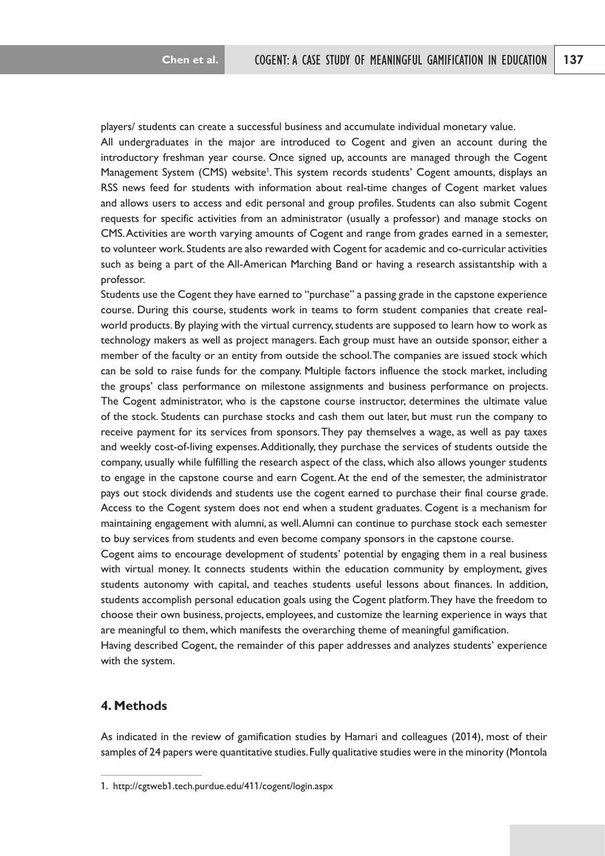players/ students can create a successful business and accumulate individual monetary value.

All undergraduates in the major are introduced to Cogent and given an account during the introductory freshman year course. Once signed up, accounts are managed through the Cogent Management System (CMS) website<sup>1</sup>. This system records students' Cogent amounts, displays an RSS news feed for students with information about real-time changes of Cogent market values and allows users to access and edit personal and group profiles. Students can also submit Cogent requests for specific activities from an administrator (usually a professor) and manage stocks on CMS.Activities are worth varying amounts of Cogent and range from grades earned in a semester, to volunteer work. Students are also rewarded with Cogent for academic and co-curricular activities such as being a part of the All-American Marching Band or having a research assistantship with a professor.

Students use the Cogent they have earned to "purchase" a passing grade in the capstone experience course. During this course, students work in teams to form student companies that create realworld products. By playing with the virtual currency,students are supposed to learn how to work as technology makers as well as project managers. Each group must have an outside sponsor, either a member of the faculty or an entity from outside the school.The companies are issued stock which can be sold to raise funds for the company. Multiple factors influence the stock market, including the groups' class performance on milestone assignments and business performance on projects. The Cogent administrator, who is the capstone course instructor, determines the ultimate value of the stock. Students can purchase stocks and cash them out later, but must run the company to receive payment for its services from sponsors.They pay themselves a wage, as well as pay taxes and weekly cost-of-living expenses.Additionally, they purchase the services of students outside the company, usually while fulfilling the research aspect of the class, which also allows younger students to engage in the capstone course and earn Cogent.At the end of the semester, the administrator pays out stock dividends and students use the cogent earned to purchase their final course grade. Access to the Cogent system does not end when a student graduates. Cogent is a mechanism for maintaining engagement with alumni, as well.Alumni can continue to purchase stock each semester to buy services from students and even become company sponsors in the capstone course.

Cogent aims to encourage development of students' potential by engaging them in a real business with virtual money. It connects students within the education community by employment, gives students autonomy with capital, and teaches students useful lessons about finances. In addition, students accomplish personal education goals using the Cogent platform.They have the freedom to choose their own business, projects, employees, and customize the learning experience in ways that are meaningful to them, which manifests the overarching theme of meaningful gamification.

Having described Cogent, the remainder of this paper addresses and analyzes students' experience with the system.

# **4. Methods**

As indicated in the review of gamification studies by Hamari and colleagues (2014), most of their samples of 24 papers were quantitative studies. Fully qualitative studies were in the minority (Montola

<sup>1.</sup> http://cgtweb1.tech.purdue.edu/411/cogent/login.aspx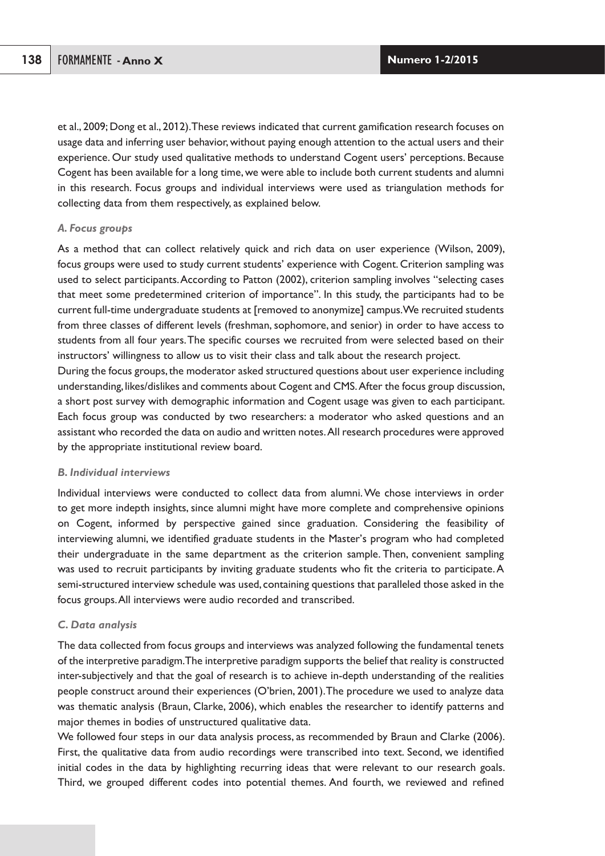et al., 2009; Dong et al., 2012). These reviews indicated that current gamification research focuses on usage data and inferring user behavior, without paying enough attention to the actual users and their experience. Our study used qualitative methods to understand Cogent users' perceptions. Because Cogent has been available for a long time, we were able to include both current students and alumni in this research. Focus groups and individual interviews were used as triangulation methods for collecting data from them respectively, as explained below.

## *A. Focus groups*

As a method that can collect relatively quick and rich data on user experience (Wilson, 2009), focus groups were used to study current students' experience with Cogent. Criterion sampling was used to select participants.According to Patton (2002), criterion sampling involves "selecting cases that meet some predetermined criterion of importance". In this study, the participants had to be current full-time undergraduate students at [removed to anonymize] campus.We recruited students from three classes of different levels (freshman, sophomore, and senior) in order to have access to students from all four years.The specific courses we recruited from were selected based on their instructors' willingness to allow us to visit their class and talk about the research project.

During the focus groups,the moderator asked structured questions about user experience including understanding, likes/dislikes and comments about Cogent and CMS.After the focus group discussion, a short post survey with demographic information and Cogent usage was given to each participant. Each focus group was conducted by two researchers: a moderator who asked questions and an assistant who recorded the data on audio and written notes.All research procedures were approved by the appropriate institutional review board.

#### *B. Individual interviews*

Individual interviews were conducted to collect data from alumni.We chose interviews in order to get more indepth insights, since alumni might have more complete and comprehensive opinions on Cogent, informed by perspective gained since graduation. Considering the feasibility of interviewing alumni, we identified graduate students in the Master's program who had completed their undergraduate in the same department as the criterion sample. Then, convenient sampling was used to recruit participants by inviting graduate students who fit the criteria to participate.A semi-structured interview schedule was used, containing questions that paralleled those asked in the focus groups.All interviews were audio recorded and transcribed.

#### *C. Data analysis*

The data collected from focus groups and interviews was analyzed following the fundamental tenets of the interpretive paradigm.The interpretive paradigm supports the belief that reality is constructed inter-subjectively and that the goal of research is to achieve in-depth understanding of the realities people construct around their experiences (O'brien, 2001).The procedure we used to analyze data was thematic analysis (Braun, Clarke, 2006), which enables the researcher to identify patterns and major themes in bodies of unstructured qualitative data.

We followed four steps in our data analysis process, as recommended by Braun and Clarke (2006). First, the qualitative data from audio recordings were transcribed into text. Second, we identified initial codes in the data by highlighting recurring ideas that were relevant to our research goals. Third, we grouped different codes into potential themes. And fourth, we reviewed and refined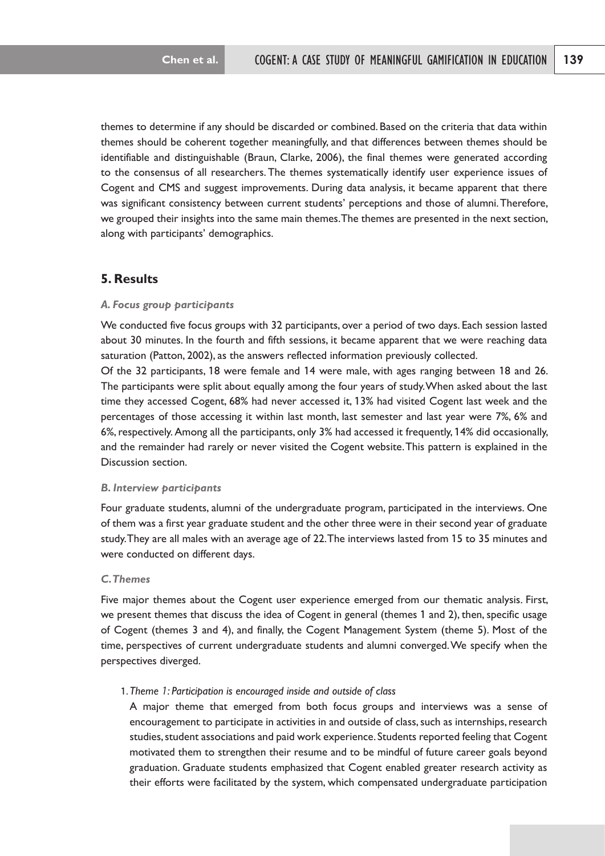themes to determine if any should be discarded or combined. Based on the criteria that data within themes should be coherent together meaningfully, and that differences between themes should be identifiable and distinguishable (Braun, Clarke, 2006), the final themes were generated according to the consensus of all researchers.The themes systematically identify user experience issues of Cogent and CMS and suggest improvements. During data analysis, it became apparent that there was significant consistency between current students' perceptions and those of alumni.Therefore, we grouped their insights into the same main themes.The themes are presented in the next section, along with participants' demographics.

# **5. Results**

### *A. Focus group participants*

We conducted five focus groups with 32 participants, over a period of two days. Each session lasted about 30 minutes. In the fourth and fifth sessions, it became apparent that we were reaching data saturation (Patton, 2002), as the answers reflected information previously collected.

Of the 32 participants, 18 were female and 14 were male, with ages ranging between 18 and 26. The participants were split about equally among the four years of study.When asked about the last time they accessed Cogent, 68% had never accessed it, 13% had visited Cogent last week and the percentages of those accessing it within last month, last semester and last year were 7%, 6% and 6%,respectively.Among all the participants, only 3% had accessed it frequently, 14% did occasionally, and the remainder had rarely or never visited the Cogent website.This pattern is explained in the Discussion section.

#### *B. Interview participants*

Four graduate students, alumni of the undergraduate program, participated in the interviews. One of them was a first year graduate student and the other three were in their second year of graduate study.They are all males with an average age of 22.The interviews lasted from 15 to 35 minutes and were conducted on different days.

#### *C. Themes*

Five major themes about the Cogent user experience emerged from our thematic analysis. First, we present themes that discuss the idea of Cogent in general (themes 1 and 2), then, specific usage of Cogent (themes 3 and 4), and finally, the Cogent Management System (theme 5). Most of the time, perspectives of current undergraduate students and alumni converged.We specify when the perspectives diverged.

#### 1. Theme 1: Participation is encouraged inside and outside of class

A major theme that emerged from both focus groups and interviews was a sense of encouragement to participate in activities in and outside of class, such as internships, research studies, student associations and paid work experience. Students reported feeling that Cogent motivated them to strengthen their resume and to be mindful of future career goals beyond graduation. Graduate students emphasized that Cogent enabled greater research activity as their efforts were facilitated by the system, which compensated undergraduate participation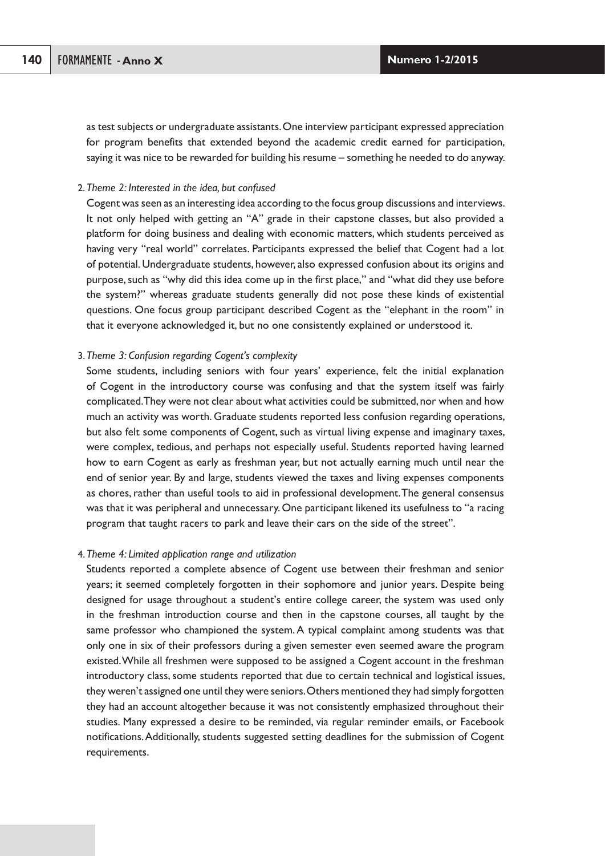as test subjects or undergraduate assistants.One interview participant expressed appreciation for program benefits that extended beyond the academic credit earned for participation, saying it was nice to be rewarded for building his resume – something he needed to do anyway.

#### 2. *Theme 2: Interested in the idea, but confused*

Cogent was seen as an interesting idea according to the focus group discussions and interviews. It not only helped with getting an "A" grade in their capstone classes, but also provided a platform for doing business and dealing with economic matters, which students perceived as having very "real world" correlates. Participants expressed the belief that Cogent had a lot of potential. Undergraduate students, however, also expressed confusion about its origins and purpose, such as "why did this idea come up in the first place," and "what did they use before the system?" whereas graduate students generally did not pose these kinds of existential questions. One focus group participant described Cogent as the "elephant in the room" in that it everyone acknowledged it, but no one consistently explained or understood it.

#### 3. *Theme 3: Confusion regarding Cogent's complexity*

Some students, including seniors with four years' experience, felt the initial explanation of Cogent in the introductory course was confusing and that the system itself was fairly complicated.They were not clear about what activities could be submitted,nor when and how much an activity was worth. Graduate students reported less confusion regarding operations, but also felt some components of Cogent, such as virtual living expense and imaginary taxes, were complex, tedious, and perhaps not especially useful. Students reported having learned how to earn Cogent as early as freshman year, but not actually earning much until near the end of senior year. By and large, students viewed the taxes and living expenses components as chores, rather than useful tools to aid in professional development. The general consensus was that it was peripheral and unnecessary. One participant likened its usefulness to "a racing program that taught racers to park and leave their cars on the side of the street".

#### 4. *Theme 4: Limited application range and utilization*

Students reported a complete absence of Cogent use between their freshman and senior years; it seemed completely forgotten in their sophomore and junior years. Despite being designed for usage throughout a student's entire college career, the system was used only in the freshman introduction course and then in the capstone courses, all taught by the same professor who championed the system.A typical complaint among students was that only one in six of their professors during a given semester even seemed aware the program existed.While all freshmen were supposed to be assigned a Cogent account in the freshman introductory class, some students reported that due to certain technical and logistical issues, they weren't assigned one until they were seniors.Others mentioned they had simply forgotten they had an account altogether because it was not consistently emphasized throughout their studies. Many expressed a desire to be reminded, via regular reminder emails, or Facebook notifications.Additionally, students suggested setting deadlines for the submission of Cogent requirements.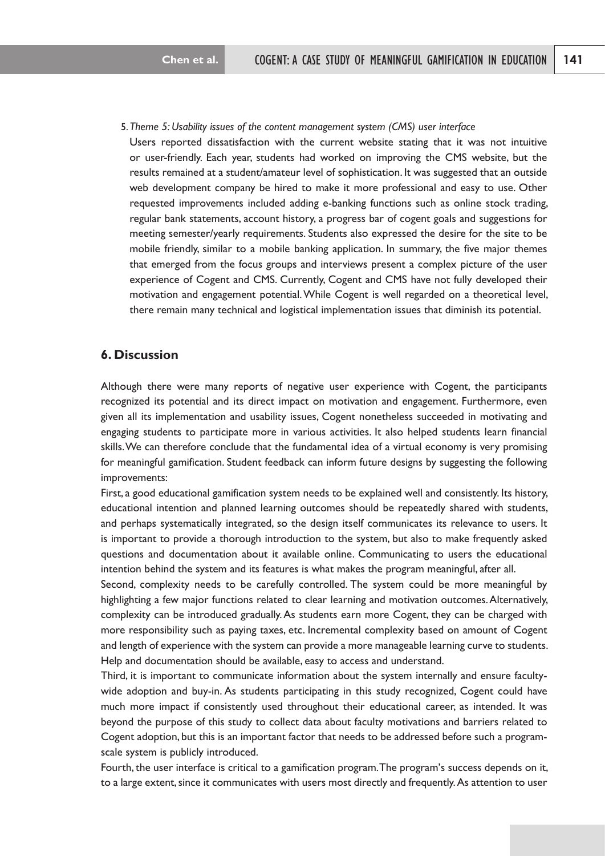5. Theme 5: Usability issues of the content management system (CMS) user interface

Users reported dissatisfaction with the current website stating that it was not intuitive or user-friendly. Each year, students had worked on improving the CMS website, but the results remained at a student/amateur level of sophistication. It was suggested that an outside web development company be hired to make it more professional and easy to use. Other requested improvements included adding e-banking functions such as online stock trading, regular bank statements, account history, a progress bar of cogent goals and suggestions for meeting semester/yearly requirements. Students also expressed the desire for the site to be mobile friendly, similar to a mobile banking application. In summary, the five major themes that emerged from the focus groups and interviews present a complex picture of the user experience of Cogent and CMS. Currently, Cogent and CMS have not fully developed their motivation and engagement potential.While Cogent is well regarded on a theoretical level, there remain many technical and logistical implementation issues that diminish its potential.

# **6. Discussion**

Although there were many reports of negative user experience with Cogent, the participants recognized its potential and its direct impact on motivation and engagement. Furthermore, even given all its implementation and usability issues, Cogent nonetheless succeeded in motivating and engaging students to participate more in various activities. It also helped students learn financial skills.We can therefore conclude that the fundamental idea of a virtual economy is very promising for meaningful gamification. Student feedback can inform future designs by suggesting the following improvements:

First, a good educational gamification system needs to be explained well and consistently. Its history, educational intention and planned learning outcomes should be repeatedly shared with students, and perhaps systematically integrated, so the design itself communicates its relevance to users. It is important to provide a thorough introduction to the system, but also to make frequently asked questions and documentation about it available online. Communicating to users the educational intention behind the system and its features is what makes the program meaningful, after all.

Second, complexity needs to be carefully controlled. The system could be more meaningful by highlighting a few major functions related to clear learning and motivation outcomes.Alternatively, complexity can be introduced gradually.As students earn more Cogent, they can be charged with more responsibility such as paying taxes, etc. Incremental complexity based on amount of Cogent and length of experience with the system can provide a more manageable learning curve to students. Help and documentation should be available, easy to access and understand.

Third, it is important to communicate information about the system internally and ensure facultywide adoption and buy-in. As students participating in this study recognized, Cogent could have much more impact if consistently used throughout their educational career, as intended. It was beyond the purpose of this study to collect data about faculty motivations and barriers related to Cogent adoption, but this is an important factor that needs to be addressed before such a programscale system is publicly introduced.

Fourth, the user interface is critical to a gamification program. The program's success depends on it, to a large extent, since it communicates with users most directly and frequently. As attention to user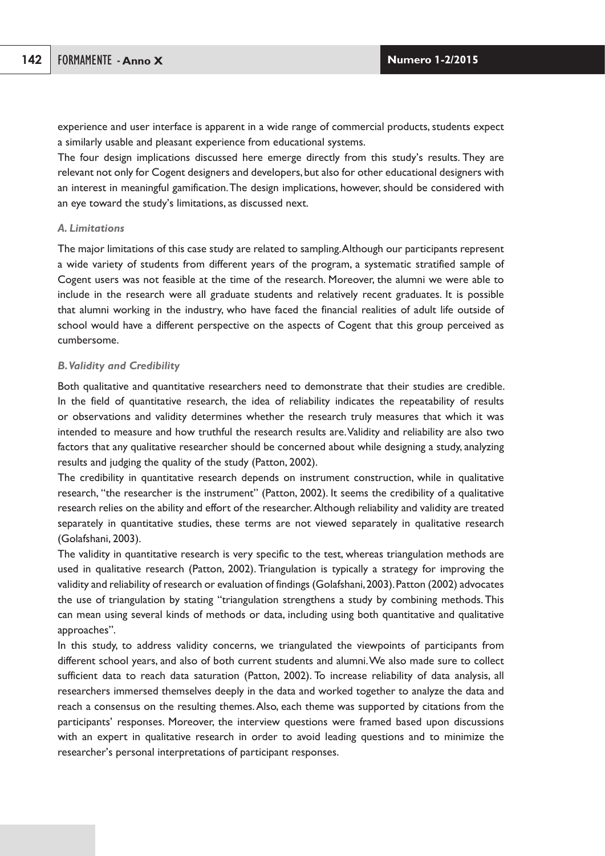experience and user interface is apparent in a wide range of commercial products, students expect a similarly usable and pleasant experience from educational systems.

The four design implications discussed here emerge directly from this study's results. They are relevant not only for Cogent designers and developers, but also for other educational designers with an interest in meaningful gamification.The design implications, however, should be considered with an eye toward the study's limitations, as discussed next.

#### *A. Limitations*

The major limitations of this case study are related to sampling.Although our participants represent a wide variety of students from different years of the program, a systematic stratified sample of Cogent users was not feasible at the time of the research. Moreover, the alumni we were able to include in the research were all graduate students and relatively recent graduates. It is possible that alumni working in the industry, who have faced the financial realities of adult life outside of school would have a different perspective on the aspects of Cogent that this group perceived as cumbersome.

#### *B. Validity and Credibility*

Both qualitative and quantitative researchers need to demonstrate that their studies are credible. In the field of quantitative research, the idea of reliability indicates the repeatability of results or observations and validity determines whether the research truly measures that which it was intended to measure and how truthful the research results are.Validity and reliability are also two factors that any qualitative researcher should be concerned about while designing a study, analyzing results and judging the quality of the study (Patton, 2002).

The credibility in quantitative research depends on instrument construction, while in qualitative research, "the researcher is the instrument" (Patton, 2002). It seems the credibility of a qualitative research relies on the ability and effort of the researcher.Although reliability and validity are treated separately in quantitative studies, these terms are not viewed separately in qualitative research (Golafshani, 2003).

The validity in quantitative research is very specific to the test, whereas triangulation methods are used in qualitative research (Patton, 2002). Triangulation is typically a strategy for improving the validity and reliability of research or evaluation of findings (Golafshani,2003).Patton (2002) advocates the use of triangulation by stating "triangulation strengthens a study by combining methods.This can mean using several kinds of methods or data, including using both quantitative and qualitative approaches".

In this study, to address validity concerns, we triangulated the viewpoints of participants from different school years, and also of both current students and alumni.We also made sure to collect sufficient data to reach data saturation (Patton, 2002). To increase reliability of data analysis, all researchers immersed themselves deeply in the data and worked together to analyze the data and reach a consensus on the resulting themes.Also, each theme was supported by citations from the participants' responses. Moreover, the interview questions were framed based upon discussions with an expert in qualitative research in order to avoid leading questions and to minimize the researcher's personal interpretations of participant responses.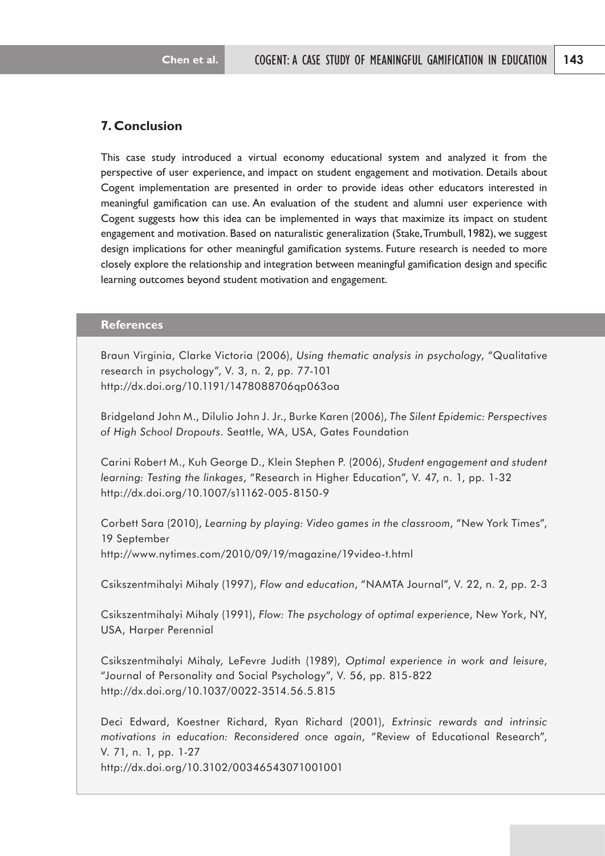# **7. Conclusion**

This case study introduced a virtual economy educational system and analyzed it from the perspective of user experience, and impact on student engagement and motivation. Details about Cogent implementation are presented in order to provide ideas other educators interested in meaningful gamification can use. An evaluation of the student and alumni user experience with Cogent suggests how this idea can be implemented in ways that maximize its impact on student engagement and motivation. Based on naturalistic generalization (Stake,Trumbull, 1982), we suggest design implications for other meaningful gamification systems. Future research is needed to more closely explore the relationship and integration between meaningful gamification design and specific learning outcomes beyond student motivation and engagement.

# **References**

Braun Virginia, Clarke Victoria (2006), *Using thematic analysis in psychology*, "Qualitative research in psychology", V. 3, n. 2, pp. 77-101 http://dx.doi.org/10.1191/1478088706qp063oa

Bridgeland John M., Dilulio John J. Jr., Burke Karen (2006), *The Silent Epidemic: Perspectives of High School Dropouts*. Seattle, WA, USA, Gates Foundation

Carini Robert M., Kuh George D., Klein Stephen P. (2006), *Student engagement and student learning: Testing the linkages*, "Research in Higher Education", V. 47, n. 1, pp. 1-32 http://dx.doi.org/10.1007/s11162-005-8150-9

Corbett Sara (2010), *Learning by playing: Video games in the classroom*, "New York Times", 19 September http://www.nytimes.com/2010/09/19/magazine/19video-t.html

Csikszentmihalyi Mihaly (1997), *Flow and education*, "NAMTA Journal", V. 22, n. 2, pp. 2-3

Csikszentmihalyi Mihaly (1991), *Flow: The psychology of optimal experience*, New York, NY, USA, Harper Perennial

Csikszentmihalyi Mihaly, LeFevre Judith (1989), *Optimal experience in work and leisure*, "Journal of Personality and Social Psychology", V. 56, pp. 815-822 http://dx.doi.org/10.1037/0022-3514.56.5.815

Deci Edward, Koestner Richard, Ryan Richard (2001), *Extrinsic rewards and intrinsic motivations in education: Reconsidered once again*, "Review of Educational Research", V. 71, n. 1, pp. 1-27 http://dx.doi.org/10.3102/00346543071001001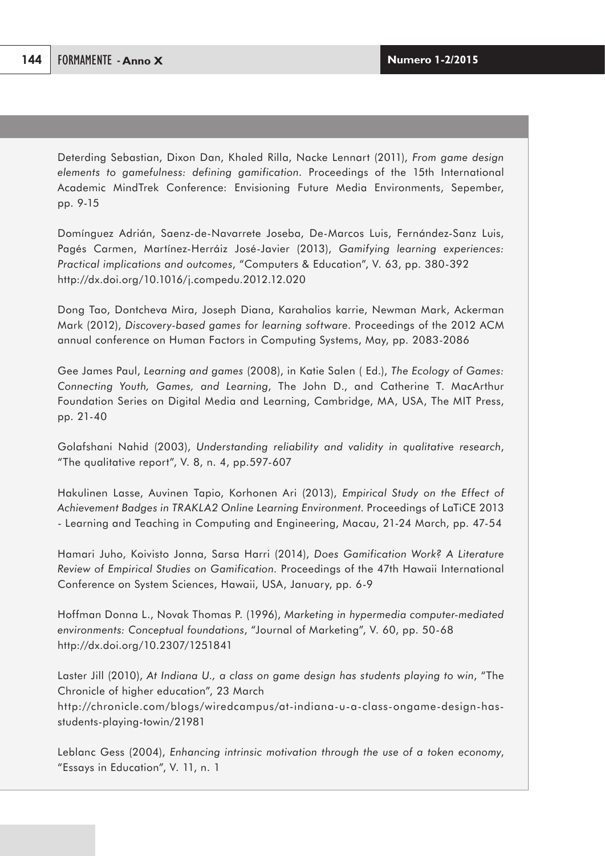Deterding Sebastian, Dixon Dan, Khaled Rilla, Nacke Lennart (2011), *From game design elements to gamefulness: defining gamification*. Proceedings of the 15th International Academic MindTrek Conference: Envisioning Future Media Environments, Sepember, pp. 9-15

Domínguez Adrián, Saenz-de-Navarrete Joseba, De-Marcos Luis, Fernández-Sanz Luis, Pagés Carmen, Martínez-Herráiz José-Javier (2013), *Gamifying learning experiences: Practical implications and outcomes*, "Computers & Education", V. 63, pp. 380-392 http://dx.doi.org/10.1016/j.compedu.2012.12.020

Dong Tao, Dontcheva Mira, Joseph Diana, Karahalios karrie, Newman Mark, Ackerman Mark (2012), *Discovery-based games for learning software*. Proceedings of the 2012 ACM annual conference on Human Factors in Computing Systems, May, pp. 2083-2086

Gee James Paul, *Learning and games* (2008), in Katie Salen ( Ed.), *The Ecology of Games: Connecting Youth, Games, and Learning*, The John D., and Catherine T. MacArthur Foundation Series on Digital Media and Learning, Cambridge, MA, USA, The MIT Press, pp. 21-40

Golafshani Nahid (2003), *Understanding reliability and validity in qualitative research*, "The qualitative report", V. 8, n. 4, pp.597-607

Hakulinen Lasse, Auvinen Tapio, Korhonen Ari (2013), *Empirical Study on the Effect of Achievement Badges in TRAKLA2 Online Learning Environment*. Proceedings of LaTiCE 2013 - Learning and Teaching in Computing and Engineering, Macau, 21-24 March, pp. 47-54

Hamari Juho, Koivisto Jonna, Sarsa Harri (2014), *Does Gamification Work? A Literature Review of Empirical Studies on Gamification*. Proceedings of the 47th Hawaii International Conference on System Sciences, Hawaii, USA, January, pp. 6-9

Hoffman Donna L., Novak Thomas P. (1996), *Marketing in hypermedia computer-mediated environments: Conceptual foundations*, "Journal of Marketing", V. 60, pp. 50-68 http://dx.doi.org/10.2307/1251841

Laster Jill (2010), *At Indiana U., a class on game design has students playing to win*, "The Chronicle of higher education", 23 March http://chronicle.com/blogs/wiredcampus/at-indiana-u-a-class-ongame-design-hasstudents-playing-towin/21981

Leblanc Gess (2004), *Enhancing intrinsic motivation through the use of a token economy*, "Essays in Education", V. 11, n. 1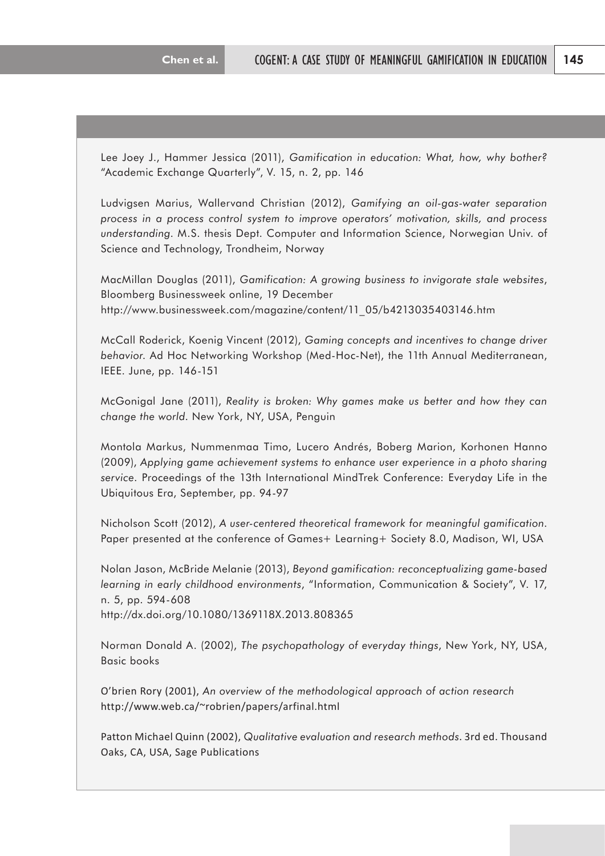Lee Joey J., Hammer Jessica (2011), *Gamification in education: What, how, why bother?* "Academic Exchange Quarterly", V. 15, n. 2, pp. 146

Ludvigsen Marius, Wallervand Christian (2012), *Gamifying an oil-gas-water separation process in a process control system to improve operators' motivation, skills, and process understanding*. M.S. thesis Dept. Computer and Information Science, Norwegian Univ. of Science and Technology, Trondheim, Norway

MacMillan Douglas (2011), *Gamification: A growing business to invigorate stale websites*, Bloomberg Businessweek online, 19 December http://www.businessweek.com/magazine/content/11\_05/b4213035403146.htm

McCall Roderick, Koenig Vincent (2012), *Gaming concepts and incentives to change driver behavior*. Ad Hoc Networking Workshop (Med-Hoc-Net), the 11th Annual Mediterranean, IEEE. June, pp. 146-151

McGonigal Jane (2011), *Reality is broken: Why games make us better and how they can change the world*. New York, NY, USA, Penguin

Montola Markus, Nummenmaa Timo, Lucero Andrés, Boberg Marion, Korhonen Hanno (2009), *Applying game achievement systems to enhance user experience in a photo sharing service*. Proceedings of the 13th International MindTrek Conference: Everyday Life in the Ubiquitous Era, September, pp. 94-97

Nicholson Scott (2012), *A user-centered theoretical framework for meaningful gamification*. Paper presented at the conference of Games+ Learning+ Society 8.0, Madison, WI, USA

Nolan Jason, McBride Melanie (2013), *Beyond gamification: reconceptualizing game-based learning in early childhood environments*, "Information, Communication & Society", V. 17, n. 5, pp. 594-608

http://dx.doi.org/10.1080/1369118X.2013.808365

Norman Donald A. (2002), *The psychopathology of everyday things*, New York, NY, USA, Basic books

O'brien Rory (2001), *An overview of the methodological approach of action research* http://www.web.ca/~robrien/papers/arfinal.html

Patton Michael Quinn (2002), *Qualitative evaluation and research methods*. 3rd ed. Thousand Oaks, CA, USA, Sage Publications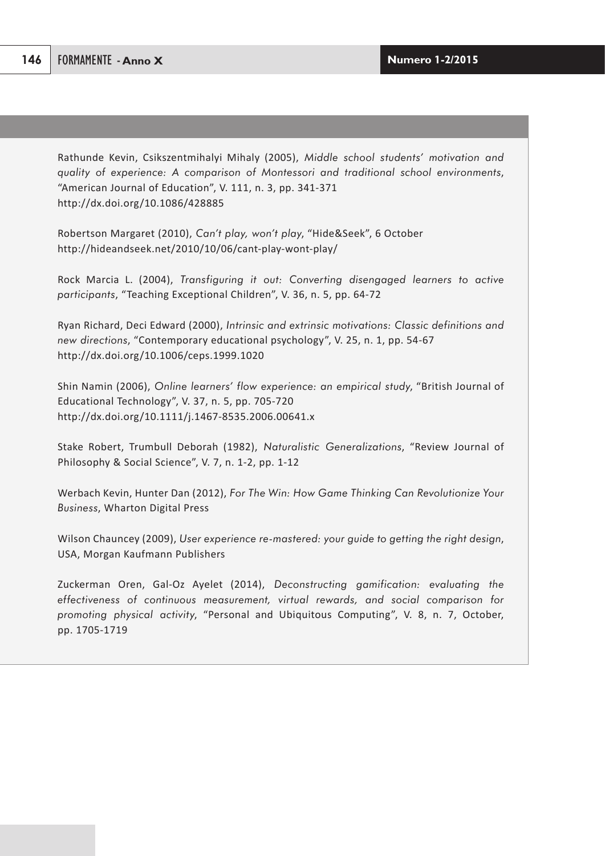Rathunde Kevin, Csikszentmihalyi Mihaly (2005), *Middle school students' motivation and quality of experience: A comparison of Montessori and traditional school environments*, "American Journal of Education", V. 111, n. 3, pp. 341-371 http://dx.doi.org/10.1086/428885

Robertson Margaret (2010), *Can't play, won't play*, "Hide&Seek", 6 October http://hideandseek.net/2010/10/06/cant-play-wont-play/

Rock Marcia L. (2004), *Transfiguring it out: Converting disengaged learners to active participants*, "Teaching Exceptional Children", V. 36, n. 5, pp. 64-72

Ryan Richard, Deci Edward (2000), *Intrinsic and extrinsic motivations: Classic definitions and new directions*, "Contemporary educational psychology", V. 25, n. 1, pp. 54-67 http://dx.doi.org/10.1006/ceps.1999.1020

Shin Namin (2006), *Online learners' flow experience: an empirical study*, "British Journal of Educational Technology", V. 37, n. 5, pp. 705-720 http://dx.doi.org/10.1111/j.1467-8535.2006.00641.x

Stake Robert, Trumbull Deborah (1982), *Naturalistic Generalizations*, "Review Journal of Philosophy & Social Science", V. 7, n. 1-2, pp. 1-12

Werbach Kevin, Hunter Dan (2012), *For The Win: How Game Thinking Can Revolutionize Your Business*, Wharton Digital Press

Wilson Chauncey (2009), *User experience re-mastered: your guide to getting the right design*, USA, Morgan Kaufmann Publishers

Zuckerman Oren, Gal-Oz Ayelet (2014), *Deconstructing gamification: evaluating the effectiveness of continuous measurement, virtual rewards, and social comparison for promoting physical activity*, "Personal and Ubiquitous Computing", V. 8, n. 7, October, pp. 1705-1719